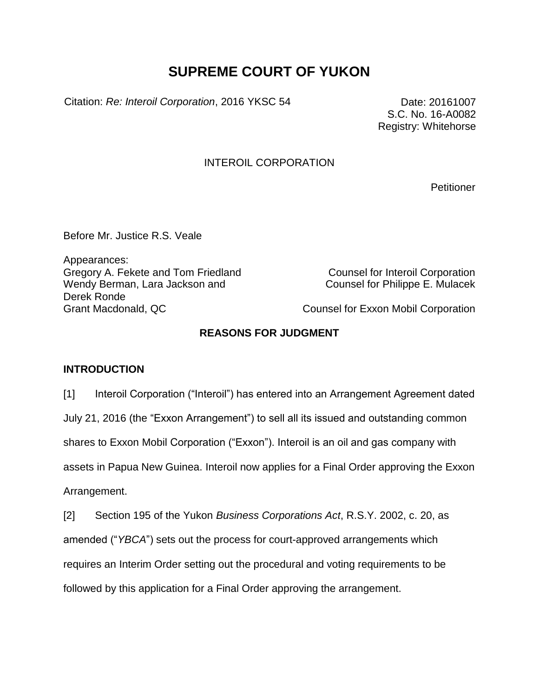# **SUPREME COURT OF YUKON**

Citation: *Re: Interoil Corporation*, 2016 YKSC 54 Date: 20161007

S.C. No. 16-A0082 Registry: Whitehorse

#### INTEROIL CORPORATION

**Petitioner** 

Before Mr. Justice R.S. Veale

Appearances: Gregory A. Fekete and Tom Friedland Counsel for Interoil Corporation Wendy Berman, Lara Jackson and Derek Ronde Grant Macdonald, QC Counsel for Exxon Mobil Corporation

Counsel for Philippe E. Mulacek

### **REASONS FOR JUDGMENT**

#### **INTRODUCTION**

[1] Interoil Corporation ("Interoil") has entered into an Arrangement Agreement dated July 21, 2016 (the "Exxon Arrangement") to sell all its issued and outstanding common shares to Exxon Mobil Corporation ("Exxon"). Interoil is an oil and gas company with assets in Papua New Guinea. Interoil now applies for a Final Order approving the Exxon Arrangement.

[2] Section 195 of the Yukon *Business Corporations Act*, R.S.Y. 2002, c. 20, as amended ("*YBCA*") sets out the process for court-approved arrangements which requires an Interim Order setting out the procedural and voting requirements to be followed by this application for a Final Order approving the arrangement.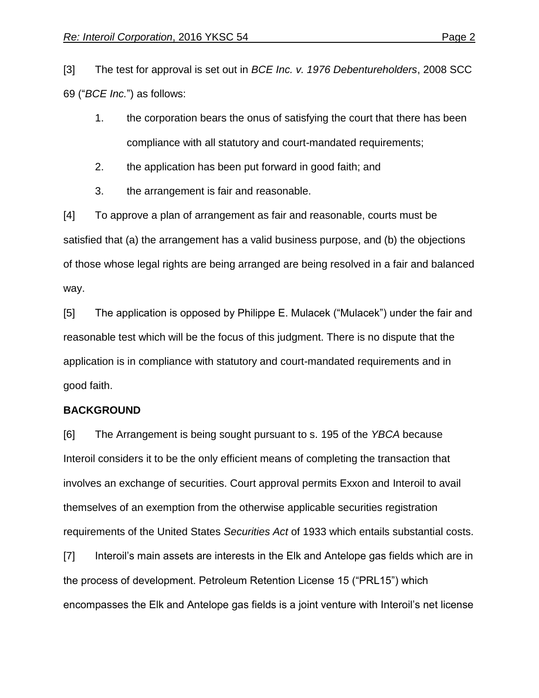[3] The test for approval is set out in *BCE Inc. v. 1976 Debentureholders*, 2008 SCC 69 ("*BCE Inc.*") as follows:

- 1. the corporation bears the onus of satisfying the court that there has been compliance with all statutory and court-mandated requirements;
- 2. the application has been put forward in good faith; and
- 3. the arrangement is fair and reasonable.

[4] To approve a plan of arrangement as fair and reasonable, courts must be satisfied that (a) the arrangement has a valid business purpose, and (b) the objections of those whose legal rights are being arranged are being resolved in a fair and balanced way.

[5] The application is opposed by Philippe E. Mulacek ("Mulacek") under the fair and reasonable test which will be the focus of this judgment. There is no dispute that the application is in compliance with statutory and court-mandated requirements and in good faith.

#### **BACKGROUND**

[6] The Arrangement is being sought pursuant to s. 195 of the *YBCA* because Interoil considers it to be the only efficient means of completing the transaction that involves an exchange of securities. Court approval permits Exxon and Interoil to avail themselves of an exemption from the otherwise applicable securities registration requirements of the United States *Securities Act* of 1933 which entails substantial costs.

[7] Interoil's main assets are interests in the Elk and Antelope gas fields which are in the process of development. Petroleum Retention License 15 ("PRL15") which encompasses the Elk and Antelope gas fields is a joint venture with Interoil's net license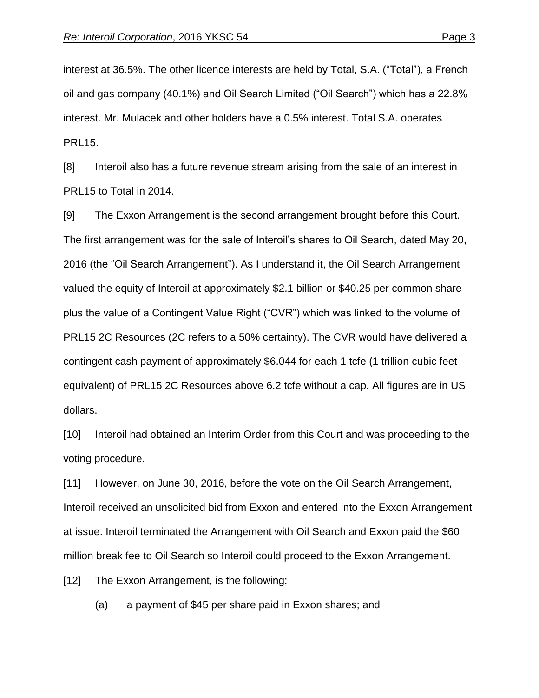interest at 36.5%. The other licence interests are held by Total, S.A. ("Total"), a French oil and gas company (40.1%) and Oil Search Limited ("Oil Search") which has a 22.8% interest. Mr. Mulacek and other holders have a 0.5% interest. Total S.A. operates PRL15.

[8] Interoil also has a future revenue stream arising from the sale of an interest in PRL15 to Total in 2014.

[9] The Exxon Arrangement is the second arrangement brought before this Court. The first arrangement was for the sale of Interoil's shares to Oil Search, dated May 20, 2016 (the "Oil Search Arrangement"). As I understand it, the Oil Search Arrangement valued the equity of Interoil at approximately \$2.1 billion or \$40.25 per common share plus the value of a Contingent Value Right ("CVR") which was linked to the volume of PRL15 2C Resources (2C refers to a 50% certainty). The CVR would have delivered a contingent cash payment of approximately \$6.044 for each 1 tcfe (1 trillion cubic feet equivalent) of PRL15 2C Resources above 6.2 tcfe without a cap. All figures are in US dollars.

[10] Interoil had obtained an Interim Order from this Court and was proceeding to the voting procedure.

[11] However, on June 30, 2016, before the vote on the Oil Search Arrangement, Interoil received an unsolicited bid from Exxon and entered into the Exxon Arrangement at issue. Interoil terminated the Arrangement with Oil Search and Exxon paid the \$60 million break fee to Oil Search so Interoil could proceed to the Exxon Arrangement.

[12] The Exxon Arrangement, is the following:

(a) a payment of \$45 per share paid in Exxon shares; and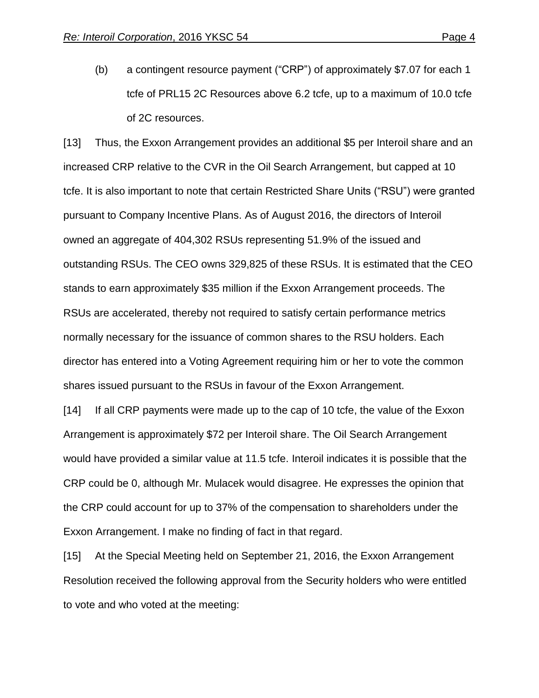(b) a contingent resource payment ("CRP") of approximately \$7.07 for each 1 tcfe of PRL15 2C Resources above 6.2 tcfe, up to a maximum of 10.0 tcfe of 2C resources.

[13] Thus, the Exxon Arrangement provides an additional \$5 per Interoil share and an increased CRP relative to the CVR in the Oil Search Arrangement, but capped at 10 tcfe. It is also important to note that certain Restricted Share Units ("RSU") were granted pursuant to Company Incentive Plans. As of August 2016, the directors of Interoil owned an aggregate of 404,302 RSUs representing 51.9% of the issued and outstanding RSUs. The CEO owns 329,825 of these RSUs. It is estimated that the CEO stands to earn approximately \$35 million if the Exxon Arrangement proceeds. The RSUs are accelerated, thereby not required to satisfy certain performance metrics normally necessary for the issuance of common shares to the RSU holders. Each director has entered into a Voting Agreement requiring him or her to vote the common shares issued pursuant to the RSUs in favour of the Exxon Arrangement.

[14] If all CRP payments were made up to the cap of 10 tcfe, the value of the Exxon Arrangement is approximately \$72 per Interoil share. The Oil Search Arrangement would have provided a similar value at 11.5 tcfe. Interoil indicates it is possible that the CRP could be 0, although Mr. Mulacek would disagree. He expresses the opinion that the CRP could account for up to 37% of the compensation to shareholders under the Exxon Arrangement. I make no finding of fact in that regard.

[15] At the Special Meeting held on September 21, 2016, the Exxon Arrangement Resolution received the following approval from the Security holders who were entitled to vote and who voted at the meeting: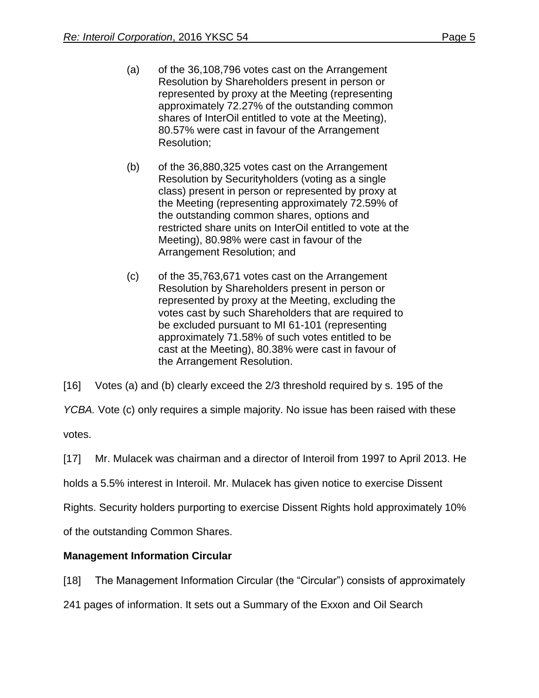- (a) of the 36,108,796 votes cast on the Arrangement Resolution by Shareholders present in person or represented by proxy at the Meeting (representing approximately 72.27% of the outstanding common shares of InterOil entitled to vote at the Meeting), 80.57% were cast in favour of the Arrangement Resolution;
- (b) of the 36,880,325 votes cast on the Arrangement Resolution by Securityholders (voting as a single class) present in person or represented by proxy at the Meeting (representing approximately 72.59% of the outstanding common shares, options and restricted share units on InterOil entitled to vote at the Meeting), 80.98% were cast in favour of the Arrangement Resolution; and
- (c) of the 35,763,671 votes cast on the Arrangement Resolution by Shareholders present in person or represented by proxy at the Meeting, excluding the votes cast by such Shareholders that are required to be excluded pursuant to MI 61-101 (representing approximately 71.58% of such votes entitled to be cast at the Meeting), 80.38% were cast in favour of the Arrangement Resolution.

[16] Votes (a) and (b) clearly exceed the 2/3 threshold required by s. 195 of the

*YCBA.* Vote (c) only requires a simple majority. No issue has been raised with these

votes.

[17] Mr. Mulacek was chairman and a director of Interoil from 1997 to April 2013. He

holds a 5.5% interest in Interoil. Mr. Mulacek has given notice to exercise Dissent

Rights. Security holders purporting to exercise Dissent Rights hold approximately 10%

of the outstanding Common Shares.

### **Management Information Circular**

[18] The Management Information Circular (the "Circular") consists of approximately

241 pages of information. It sets out a Summary of the Exxon and Oil Search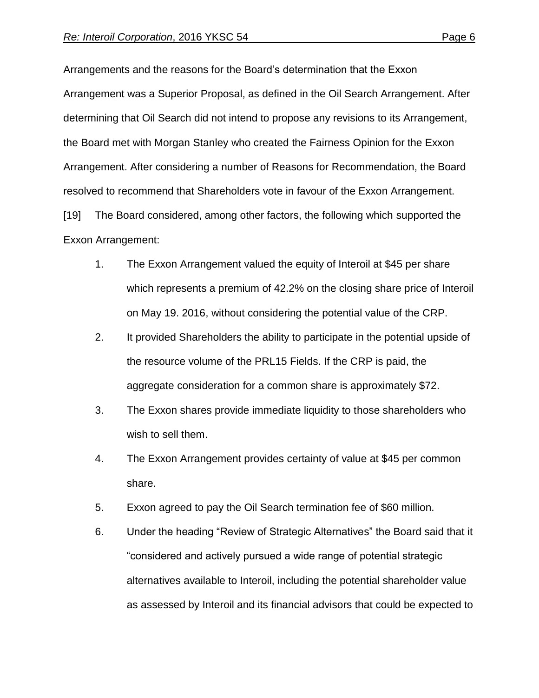Arrangements and the reasons for the Board's determination that the Exxon Arrangement was a Superior Proposal, as defined in the Oil Search Arrangement. After determining that Oil Search did not intend to propose any revisions to its Arrangement, the Board met with Morgan Stanley who created the Fairness Opinion for the Exxon Arrangement. After considering a number of Reasons for Recommendation, the Board resolved to recommend that Shareholders vote in favour of the Exxon Arrangement. [19] The Board considered, among other factors, the following which supported the

#### Exxon Arrangement:

- 1. The Exxon Arrangement valued the equity of Interoil at \$45 per share which represents a premium of 42.2% on the closing share price of Interoil on May 19. 2016, without considering the potential value of the CRP.
- 2. It provided Shareholders the ability to participate in the potential upside of the resource volume of the PRL15 Fields. If the CRP is paid, the aggregate consideration for a common share is approximately \$72.
- 3. The Exxon shares provide immediate liquidity to those shareholders who wish to sell them.
- 4. The Exxon Arrangement provides certainty of value at \$45 per common share.
- 5. Exxon agreed to pay the Oil Search termination fee of \$60 million.
- 6. Under the heading "Review of Strategic Alternatives" the Board said that it "considered and actively pursued a wide range of potential strategic alternatives available to Interoil, including the potential shareholder value as assessed by Interoil and its financial advisors that could be expected to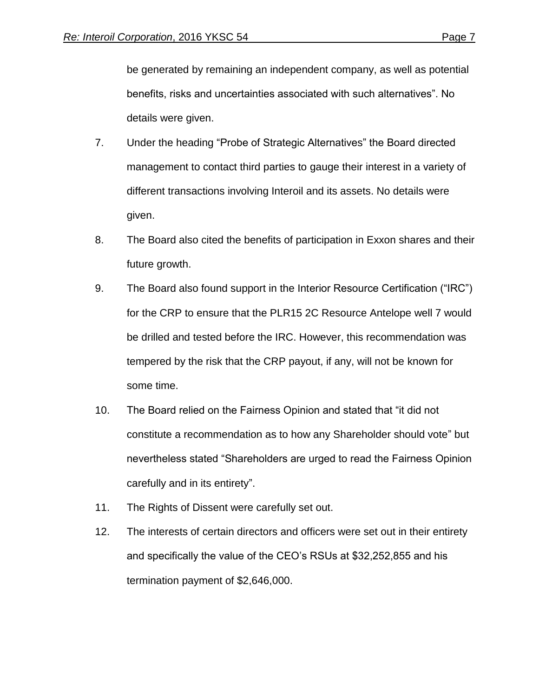be generated by remaining an independent company, as well as potential benefits, risks and uncertainties associated with such alternatives". No details were given.

- 7. Under the heading "Probe of Strategic Alternatives" the Board directed management to contact third parties to gauge their interest in a variety of different transactions involving Interoil and its assets. No details were given.
- 8. The Board also cited the benefits of participation in Exxon shares and their future growth.
- 9. The Board also found support in the Interior Resource Certification ("IRC") for the CRP to ensure that the PLR15 2C Resource Antelope well 7 would be drilled and tested before the IRC. However, this recommendation was tempered by the risk that the CRP payout, if any, will not be known for some time.
- 10. The Board relied on the Fairness Opinion and stated that "it did not constitute a recommendation as to how any Shareholder should vote" but nevertheless stated "Shareholders are urged to read the Fairness Opinion carefully and in its entirety".
- 11. The Rights of Dissent were carefully set out.
- 12. The interests of certain directors and officers were set out in their entirety and specifically the value of the CEO's RSUs at \$32,252,855 and his termination payment of \$2,646,000.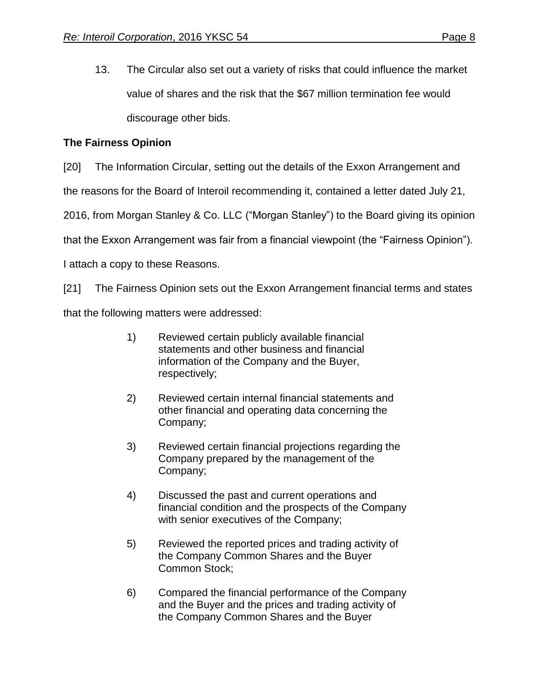13. The Circular also set out a variety of risks that could influence the market value of shares and the risk that the \$67 million termination fee would discourage other bids.

### **The Fairness Opinion**

[20] The Information Circular, setting out the details of the Exxon Arrangement and

the reasons for the Board of Interoil recommending it, contained a letter dated July 21,

2016, from Morgan Stanley & Co. LLC ("Morgan Stanley") to the Board giving its opinion

that the Exxon Arrangement was fair from a financial viewpoint (the "Fairness Opinion").

I attach a copy to these Reasons.

[21] The Fairness Opinion sets out the Exxon Arrangement financial terms and states

that the following matters were addressed:

- 1) Reviewed certain publicly available financial statements and other business and financial information of the Company and the Buyer, respectively;
- 2) Reviewed certain internal financial statements and other financial and operating data concerning the Company;
- 3) Reviewed certain financial projections regarding the Company prepared by the management of the Company;
- 4) Discussed the past and current operations and financial condition and the prospects of the Company with senior executives of the Company;
- 5) Reviewed the reported prices and trading activity of the Company Common Shares and the Buyer Common Stock;
- 6) Compared the financial performance of the Company and the Buyer and the prices and trading activity of the Company Common Shares and the Buyer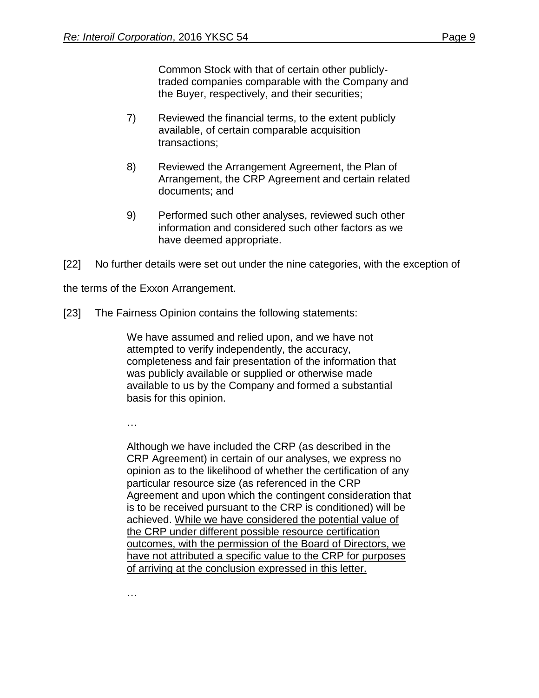Common Stock with that of certain other publiclytraded companies comparable with the Company and the Buyer, respectively, and their securities;

- 7) Reviewed the financial terms, to the extent publicly available, of certain comparable acquisition transactions;
- 8) Reviewed the Arrangement Agreement, the Plan of Arrangement, the CRP Agreement and certain related documents; and
- 9) Performed such other analyses, reviewed such other information and considered such other factors as we have deemed appropriate.

[22] No further details were set out under the nine categories, with the exception of

the terms of the Exxon Arrangement.

[23] The Fairness Opinion contains the following statements:

We have assumed and relied upon, and we have not attempted to verify independently, the accuracy, completeness and fair presentation of the information that was publicly available or supplied or otherwise made available to us by the Company and formed a substantial basis for this opinion.

…

Although we have included the CRP (as described in the CRP Agreement) in certain of our analyses, we express no opinion as to the likelihood of whether the certification of any particular resource size (as referenced in the CRP Agreement and upon which the contingent consideration that is to be received pursuant to the CRP is conditioned) will be achieved. While we have considered the potential value of the CRP under different possible resource certification outcomes, with the permission of the Board of Directors, we have not attributed a specific value to the CRP for purposes of arriving at the conclusion expressed in this letter.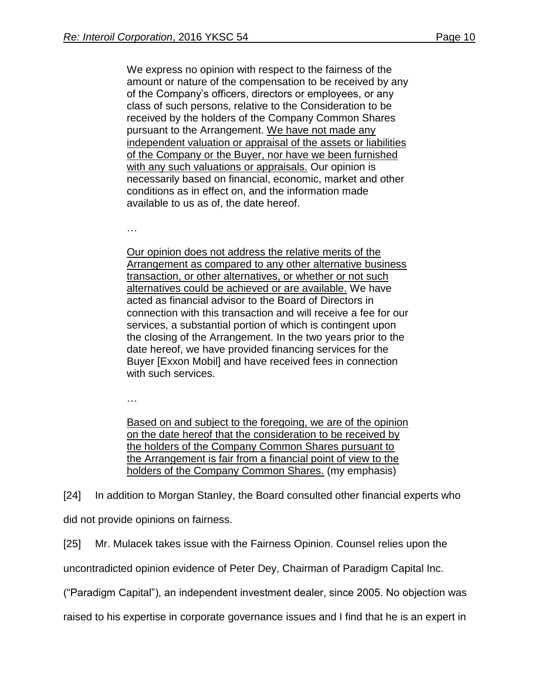We express no opinion with respect to the fairness of the amount or nature of the compensation to be received by any of the Company's officers, directors or employees, or any class of such persons, relative to the Consideration to be received by the holders of the Company Common Shares pursuant to the Arrangement. We have not made any independent valuation or appraisal of the assets or liabilities of the Company or the Buyer, nor have we been furnished with any such valuations or appraisals. Our opinion is necessarily based on financial, economic, market and other conditions as in effect on, and the information made available to us as of, the date hereof.

…

Our opinion does not address the relative merits of the Arrangement as compared to any other alternative business transaction, or other alternatives, or whether or not such alternatives could be achieved or are available. We have acted as financial advisor to the Board of Directors in connection with this transaction and will receive a fee for our services, a substantial portion of which is contingent upon the closing of the Arrangement. In the two years prior to the date hereof, we have provided financing services for the Buyer [Exxon Mobil] and have received fees in connection with such services.

…

Based on and subject to the foregoing, we are of the opinion on the date hereof that the consideration to be received by the holders of the Company Common Shares pursuant to the Arrangement is fair from a financial point of view to the holders of the Company Common Shares. (my emphasis)

[24] In addition to Morgan Stanley, the Board consulted other financial experts who did not provide opinions on fairness.

[25] Mr. Mulacek takes issue with the Fairness Opinion. Counsel relies upon the

uncontradicted opinion evidence of Peter Dey, Chairman of Paradigm Capital Inc.

("Paradigm Capital"), an independent investment dealer, since 2005. No objection was

raised to his expertise in corporate governance issues and I find that he is an expert in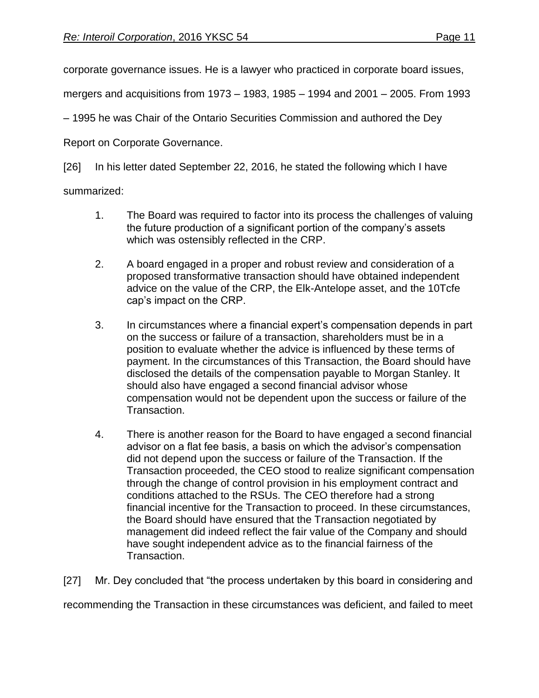corporate governance issues. He is a lawyer who practiced in corporate board issues,

mergers and acquisitions from 1973 – 1983, 1985 – 1994 and 2001 – 2005. From 1993

– 1995 he was Chair of the Ontario Securities Commission and authored the Dey

Report on Corporate Governance.

[26] In his letter dated September 22, 2016, he stated the following which I have

summarized:

- 1. The Board was required to factor into its process the challenges of valuing the future production of a significant portion of the company's assets which was ostensibly reflected in the CRP.
- 2. A board engaged in a proper and robust review and consideration of a proposed transformative transaction should have obtained independent advice on the value of the CRP, the Elk-Antelope asset, and the 10Tcfe cap's impact on the CRP.
- 3. In circumstances where a financial expert's compensation depends in part on the success or failure of a transaction, shareholders must be in a position to evaluate whether the advice is influenced by these terms of payment. In the circumstances of this Transaction, the Board should have disclosed the details of the compensation payable to Morgan Stanley. It should also have engaged a second financial advisor whose compensation would not be dependent upon the success or failure of the Transaction.
- 4. There is another reason for the Board to have engaged a second financial advisor on a flat fee basis, a basis on which the advisor's compensation did not depend upon the success or failure of the Transaction. If the Transaction proceeded, the CEO stood to realize significant compensation through the change of control provision in his employment contract and conditions attached to the RSUs. The CEO therefore had a strong financial incentive for the Transaction to proceed. In these circumstances, the Board should have ensured that the Transaction negotiated by management did indeed reflect the fair value of the Company and should have sought independent advice as to the financial fairness of the Transaction.

[27] Mr. Dey concluded that "the process undertaken by this board in considering and

recommending the Transaction in these circumstances was deficient, and failed to meet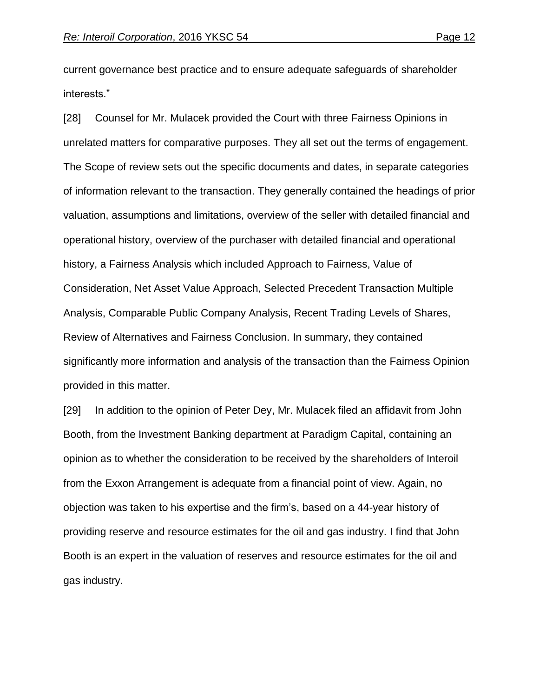current governance best practice and to ensure adequate safeguards of shareholder interests."

[28] Counsel for Mr. Mulacek provided the Court with three Fairness Opinions in unrelated matters for comparative purposes. They all set out the terms of engagement. The Scope of review sets out the specific documents and dates, in separate categories of information relevant to the transaction. They generally contained the headings of prior valuation, assumptions and limitations, overview of the seller with detailed financial and operational history, overview of the purchaser with detailed financial and operational history, a Fairness Analysis which included Approach to Fairness, Value of Consideration, Net Asset Value Approach, Selected Precedent Transaction Multiple Analysis, Comparable Public Company Analysis, Recent Trading Levels of Shares, Review of Alternatives and Fairness Conclusion. In summary, they contained significantly more information and analysis of the transaction than the Fairness Opinion provided in this matter.

[29] In addition to the opinion of Peter Dey, Mr. Mulacek filed an affidavit from John Booth, from the Investment Banking department at Paradigm Capital, containing an opinion as to whether the consideration to be received by the shareholders of Interoil from the Exxon Arrangement is adequate from a financial point of view. Again, no objection was taken to his expertise and the firm's, based on a 44-year history of providing reserve and resource estimates for the oil and gas industry. I find that John Booth is an expert in the valuation of reserves and resource estimates for the oil and gas industry.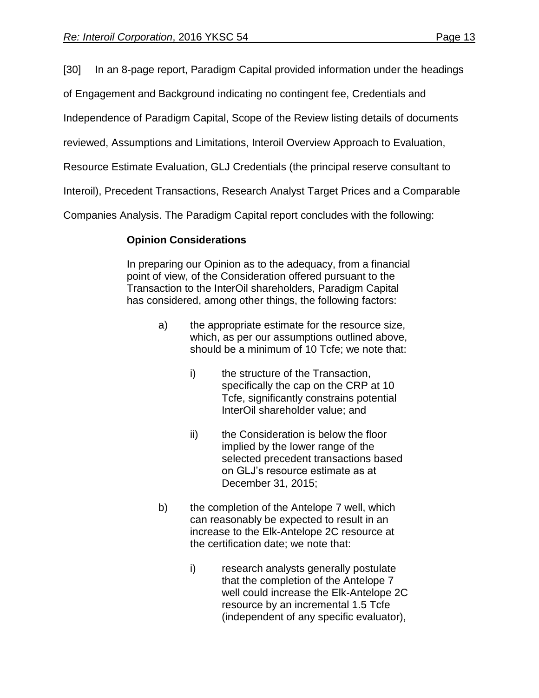[30] In an 8-page report, Paradigm Capital provided information under the headings

of Engagement and Background indicating no contingent fee, Credentials and

Independence of Paradigm Capital, Scope of the Review listing details of documents

reviewed, Assumptions and Limitations, Interoil Overview Approach to Evaluation,

Resource Estimate Evaluation, GLJ Credentials (the principal reserve consultant to

Interoil), Precedent Transactions, Research Analyst Target Prices and a Comparable

Companies Analysis. The Paradigm Capital report concludes with the following:

### **Opinion Considerations**

In preparing our Opinion as to the adequacy, from a financial point of view, of the Consideration offered pursuant to the Transaction to the InterOil shareholders, Paradigm Capital has considered, among other things, the following factors:

- a) the appropriate estimate for the resource size, which, as per our assumptions outlined above, should be a minimum of 10 Tcfe; we note that:
	- i) the structure of the Transaction, specifically the cap on the CRP at 10 Tcfe, significantly constrains potential InterOil shareholder value; and
	- ii) the Consideration is below the floor implied by the lower range of the selected precedent transactions based on GLJ's resource estimate as at December 31, 2015;
- b) the completion of the Antelope 7 well, which can reasonably be expected to result in an increase to the Elk-Antelope 2C resource at the certification date; we note that:
	- i) research analysts generally postulate that the completion of the Antelope 7 well could increase the Elk-Antelope 2C resource by an incremental 1.5 Tcfe (independent of any specific evaluator),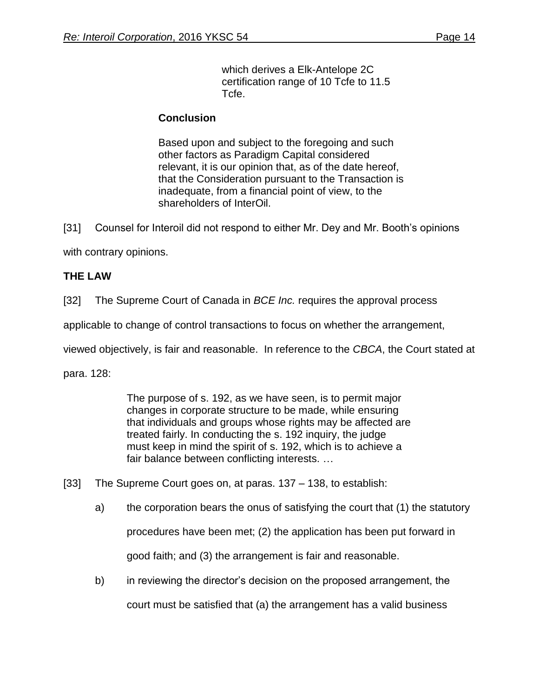which derives a Elk-Antelope 2C certification range of 10 Tcfe to 11.5 Tcfe.

#### **Conclusion**

Based upon and subject to the foregoing and such other factors as Paradigm Capital considered relevant, it is our opinion that, as of the date hereof, that the Consideration pursuant to the Transaction is inadequate, from a financial point of view, to the shareholders of InterOil.

[31] Counsel for Interoil did not respond to either Mr. Dey and Mr. Booth's opinions

with contrary opinions.

#### **THE LAW**

[32] The Supreme Court of Canada in *BCE Inc.* requires the approval process

applicable to change of control transactions to focus on whether the arrangement,

viewed objectively, is fair and reasonable. In reference to the *CBCA*, the Court stated at

para. 128:

The purpose of s. 192, as we have seen, is to permit major changes in corporate structure to be made, while ensuring that individuals and groups whose rights may be affected are treated fairly. In conducting the s. 192 inquiry, the judge must keep in mind the spirit of s. 192, which is to achieve a fair balance between conflicting interests. …

- [33] The Supreme Court goes on, at paras. 137 138, to establish:
	- a) the corporation bears the onus of satisfying the court that (1) the statutory procedures have been met; (2) the application has been put forward in good faith; and (3) the arrangement is fair and reasonable.
	- b) in reviewing the director's decision on the proposed arrangement, the court must be satisfied that (a) the arrangement has a valid business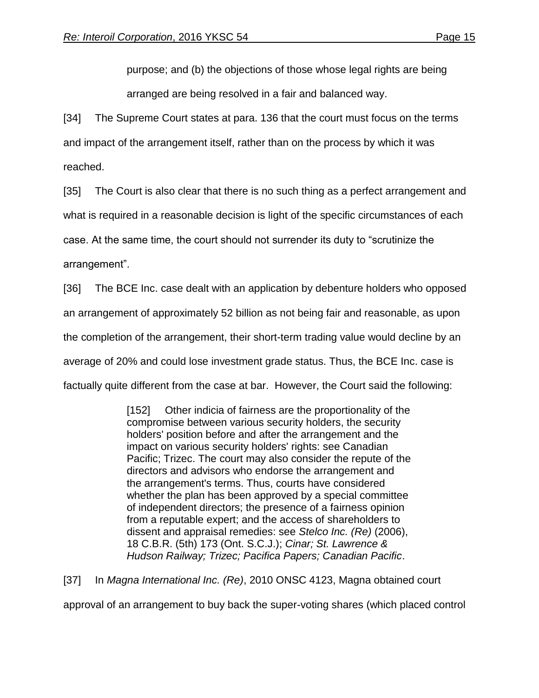purpose; and (b) the objections of those whose legal rights are being arranged are being resolved in a fair and balanced way.

[34] The Supreme Court states at para. 136 that the court must focus on the terms and impact of the arrangement itself, rather than on the process by which it was reached.

[35] The Court is also clear that there is no such thing as a perfect arrangement and what is required in a reasonable decision is light of the specific circumstances of each case. At the same time, the court should not surrender its duty to "scrutinize the arrangement".

[36] The BCE Inc. case dealt with an application by debenture holders who opposed an arrangement of approximately 52 billion as not being fair and reasonable, as upon the completion of the arrangement, their short-term trading value would decline by an average of 20% and could lose investment grade status. Thus, the BCE Inc. case is factually quite different from the case at bar. However, the Court said the following:

> [152] Other indicia of fairness are the proportionality of the compromise between various security holders, the security holders' position before and after the arrangement and the impact on various security holders' rights: see Canadian Pacific; Trizec. The court may also consider the repute of the directors and advisors who endorse the arrangement and the arrangement's terms. Thus, courts have considered whether the plan has been approved by a special committee of independent directors; the presence of a fairness opinion from a reputable expert; and the access of shareholders to dissent and appraisal remedies: see *Stelco Inc. (Re)* (2006), 18 C.B.R. (5th) 173 (Ont. S.C.J.); *Cinar; St. Lawrence & Hudson Railway; Trizec; Pacifica Papers; Canadian Pacific*.

[37] In *Magna International Inc. (Re)*, 2010 ONSC 4123, Magna obtained court

approval of an arrangement to buy back the super-voting shares (which placed control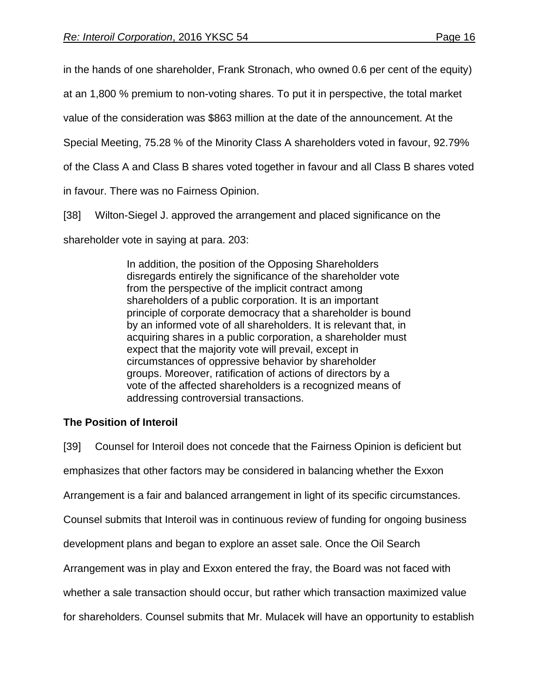in the hands of one shareholder, Frank Stronach, who owned 0.6 per cent of the equity)

at an 1,800 % premium to non-voting shares. To put it in perspective, the total market

value of the consideration was \$863 million at the date of the announcement. At the

Special Meeting, 75.28 % of the Minority Class A shareholders voted in favour, 92.79%

of the Class A and Class B shares voted together in favour and all Class B shares voted

in favour. There was no Fairness Opinion.

[38] Wilton-Siegel J. approved the arrangement and placed significance on the

shareholder vote in saying at para. 203:

In addition, the position of the Opposing Shareholders disregards entirely the significance of the shareholder vote from the perspective of the implicit contract among shareholders of a public corporation. It is an important principle of corporate democracy that a shareholder is bound by an informed vote of all shareholders. It is relevant that, in acquiring shares in a public corporation, a shareholder must expect that the majority vote will prevail, except in circumstances of oppressive behavior by shareholder groups. Moreover, ratification of actions of directors by a vote of the affected shareholders is a recognized means of addressing controversial transactions.

## **The Position of Interoil**

[39] Counsel for Interoil does not concede that the Fairness Opinion is deficient but emphasizes that other factors may be considered in balancing whether the Exxon Arrangement is a fair and balanced arrangement in light of its specific circumstances. Counsel submits that Interoil was in continuous review of funding for ongoing business development plans and began to explore an asset sale. Once the Oil Search Arrangement was in play and Exxon entered the fray, the Board was not faced with whether a sale transaction should occur, but rather which transaction maximized value for shareholders. Counsel submits that Mr. Mulacek will have an opportunity to establish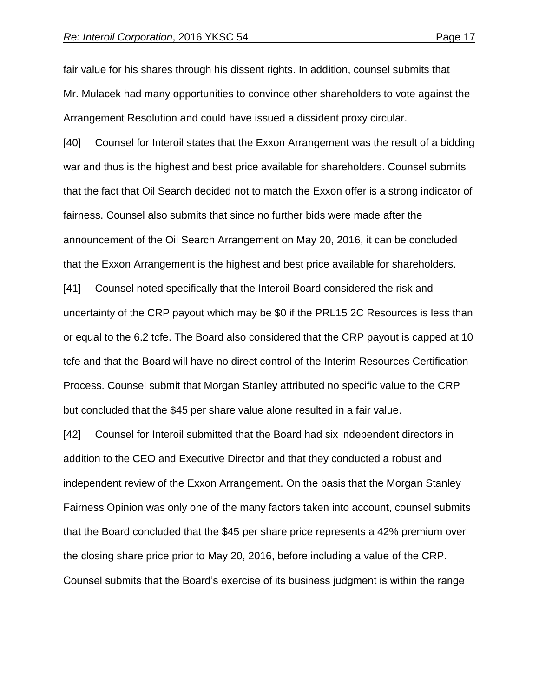fair value for his shares through his dissent rights. In addition, counsel submits that Mr. Mulacek had many opportunities to convince other shareholders to vote against the Arrangement Resolution and could have issued a dissident proxy circular.

[40] Counsel for Interoil states that the Exxon Arrangement was the result of a bidding war and thus is the highest and best price available for shareholders. Counsel submits that the fact that Oil Search decided not to match the Exxon offer is a strong indicator of fairness. Counsel also submits that since no further bids were made after the announcement of the Oil Search Arrangement on May 20, 2016, it can be concluded that the Exxon Arrangement is the highest and best price available for shareholders.

[41] Counsel noted specifically that the Interoil Board considered the risk and uncertainty of the CRP payout which may be \$0 if the PRL15 2C Resources is less than or equal to the 6.2 tcfe. The Board also considered that the CRP payout is capped at 10 tcfe and that the Board will have no direct control of the Interim Resources Certification Process. Counsel submit that Morgan Stanley attributed no specific value to the CRP but concluded that the \$45 per share value alone resulted in a fair value.

[42] Counsel for Interoil submitted that the Board had six independent directors in addition to the CEO and Executive Director and that they conducted a robust and independent review of the Exxon Arrangement. On the basis that the Morgan Stanley Fairness Opinion was only one of the many factors taken into account, counsel submits that the Board concluded that the \$45 per share price represents a 42% premium over the closing share price prior to May 20, 2016, before including a value of the CRP. Counsel submits that the Board's exercise of its business judgment is within the range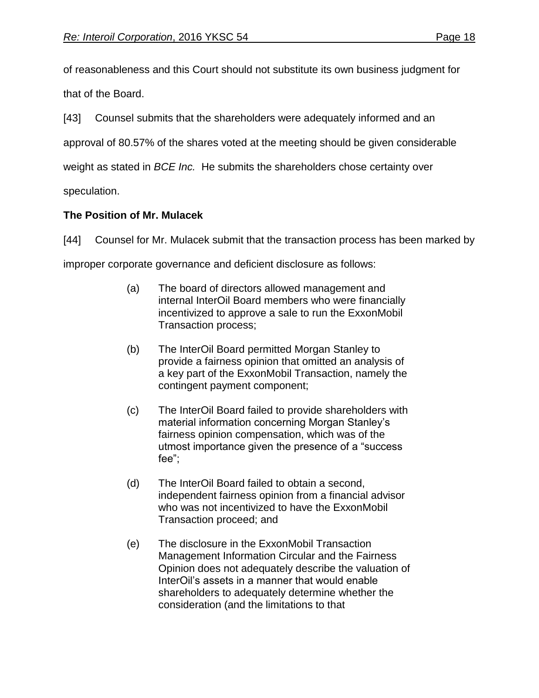of reasonableness and this Court should not substitute its own business judgment for that of the Board.

[43] Counsel submits that the shareholders were adequately informed and an

approval of 80.57% of the shares voted at the meeting should be given considerable

weight as stated in *BCE Inc.* He submits the shareholders chose certainty over

speculation.

### **The Position of Mr. Mulacek**

[44] Counsel for Mr. Mulacek submit that the transaction process has been marked by improper corporate governance and deficient disclosure as follows:

- (a) The board of directors allowed management and internal InterOil Board members who were financially incentivized to approve a sale to run the ExxonMobil Transaction process;
- (b) The InterOil Board permitted Morgan Stanley to provide a fairness opinion that omitted an analysis of a key part of the ExxonMobil Transaction, namely the contingent payment component;
- (c) The InterOil Board failed to provide shareholders with material information concerning Morgan Stanley's fairness opinion compensation, which was of the utmost importance given the presence of a "success fee";
- (d) The InterOil Board failed to obtain a second, independent fairness opinion from a financial advisor who was not incentivized to have the ExxonMobil Transaction proceed; and
- (e) The disclosure in the ExxonMobil Transaction Management Information Circular and the Fairness Opinion does not adequately describe the valuation of InterOil's assets in a manner that would enable shareholders to adequately determine whether the consideration (and the limitations to that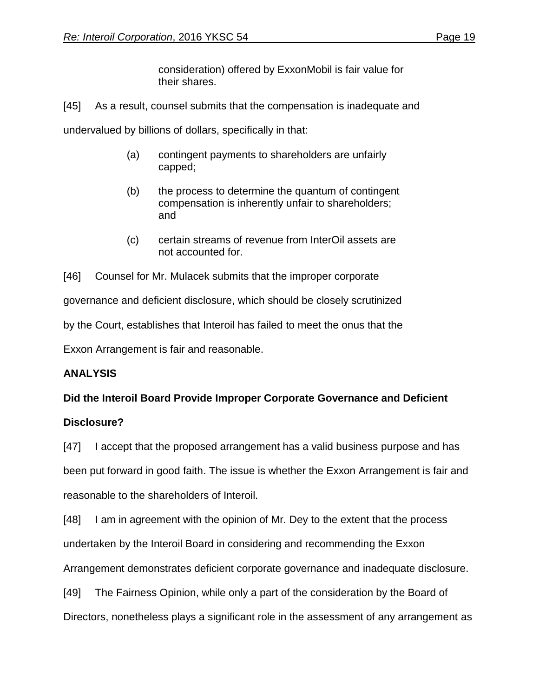consideration) offered by ExxonMobil is fair value for their shares.

[45] As a result, counsel submits that the compensation is inadequate and

undervalued by billions of dollars, specifically in that:

- (a) contingent payments to shareholders are unfairly capped;
- (b) the process to determine the quantum of contingent compensation is inherently unfair to shareholders; and
- (c) certain streams of revenue from InterOil assets are not accounted for.

[46] Counsel for Mr. Mulacek submits that the improper corporate governance and deficient disclosure, which should be closely scrutinized by the Court, establishes that Interoil has failed to meet the onus that the Exxon Arrangement is fair and reasonable.

### **ANALYSIS**

### **Did the Interoil Board Provide Improper Corporate Governance and Deficient**

#### **Disclosure?**

[47] I accept that the proposed arrangement has a valid business purpose and has been put forward in good faith. The issue is whether the Exxon Arrangement is fair and reasonable to the shareholders of Interoil.

[48] I am in agreement with the opinion of Mr. Dey to the extent that the process undertaken by the Interoil Board in considering and recommending the Exxon Arrangement demonstrates deficient corporate governance and inadequate disclosure.

[49] The Fairness Opinion, while only a part of the consideration by the Board of

Directors, nonetheless plays a significant role in the assessment of any arrangement as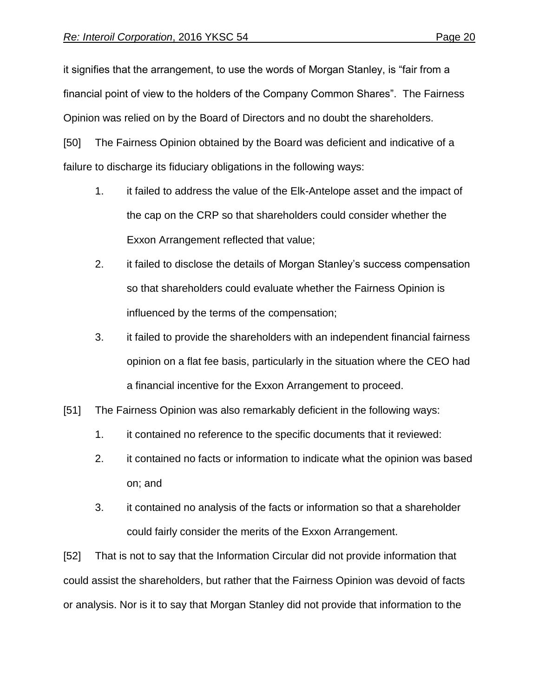it signifies that the arrangement, to use the words of Morgan Stanley, is "fair from a financial point of view to the holders of the Company Common Shares". The Fairness Opinion was relied on by the Board of Directors and no doubt the shareholders.

[50] The Fairness Opinion obtained by the Board was deficient and indicative of a failure to discharge its fiduciary obligations in the following ways:

- 1. it failed to address the value of the Elk-Antelope asset and the impact of the cap on the CRP so that shareholders could consider whether the Exxon Arrangement reflected that value;
- 2. it failed to disclose the details of Morgan Stanley's success compensation so that shareholders could evaluate whether the Fairness Opinion is influenced by the terms of the compensation;
- 3. it failed to provide the shareholders with an independent financial fairness opinion on a flat fee basis, particularly in the situation where the CEO had a financial incentive for the Exxon Arrangement to proceed.
- [51] The Fairness Opinion was also remarkably deficient in the following ways:
	- 1. it contained no reference to the specific documents that it reviewed:
	- 2. it contained no facts or information to indicate what the opinion was based on; and
	- 3. it contained no analysis of the facts or information so that a shareholder could fairly consider the merits of the Exxon Arrangement.

[52] That is not to say that the Information Circular did not provide information that could assist the shareholders, but rather that the Fairness Opinion was devoid of facts or analysis. Nor is it to say that Morgan Stanley did not provide that information to the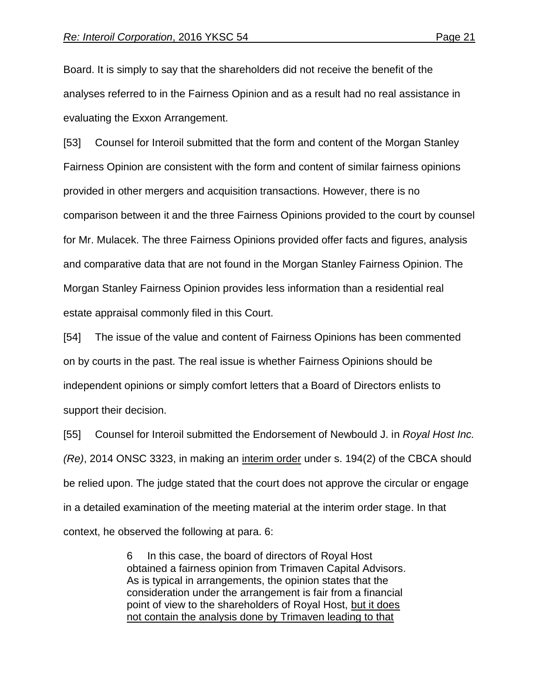Board. It is simply to say that the shareholders did not receive the benefit of the analyses referred to in the Fairness Opinion and as a result had no real assistance in evaluating the Exxon Arrangement.

[53] Counsel for Interoil submitted that the form and content of the Morgan Stanley Fairness Opinion are consistent with the form and content of similar fairness opinions provided in other mergers and acquisition transactions. However, there is no comparison between it and the three Fairness Opinions provided to the court by counsel for Mr. Mulacek. The three Fairness Opinions provided offer facts and figures, analysis and comparative data that are not found in the Morgan Stanley Fairness Opinion. The Morgan Stanley Fairness Opinion provides less information than a residential real estate appraisal commonly filed in this Court.

[54] The issue of the value and content of Fairness Opinions has been commented on by courts in the past. The real issue is whether Fairness Opinions should be independent opinions or simply comfort letters that a Board of Directors enlists to support their decision.

[55] Counsel for Interoil submitted the Endorsement of Newbould J. in *Royal Host Inc. (Re)*, 2014 ONSC 3323, in making an interim order under s. 194(2) of the CBCA should be relied upon. The judge stated that the court does not approve the circular or engage in a detailed examination of the meeting material at the interim order stage. In that context, he observed the following at para. 6:

> 6 In this case, the board of directors of Royal Host obtained a fairness opinion from Trimaven Capital Advisors. As is typical in arrangements, the opinion states that the consideration under the arrangement is fair from a financial point of view to the shareholders of Royal Host, but it does not contain the analysis done by Trimaven leading to that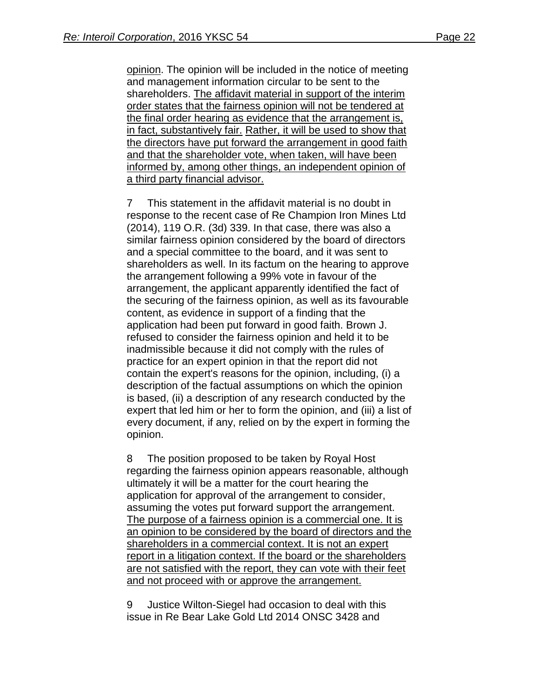opinion. The opinion will be included in the notice of meeting and management information circular to be sent to the shareholders. The affidavit material in support of the interim order states that the fairness opinion will not be tendered at the final order hearing as evidence that the arrangement is, in fact, substantively fair. Rather, it will be used to show that the directors have put forward the arrangement in good faith and that the shareholder vote, when taken, will have been informed by, among other things, an independent opinion of a third party financial advisor.

7 This statement in the affidavit material is no doubt in response to the recent case of Re Champion Iron Mines Ltd (2014), 119 O.R. (3d) 339. In that case, there was also a similar fairness opinion considered by the board of directors and a special committee to the board, and it was sent to shareholders as well. In its factum on the hearing to approve the arrangement following a 99% vote in favour of the arrangement, the applicant apparently identified the fact of the securing of the fairness opinion, as well as its favourable content, as evidence in support of a finding that the application had been put forward in good faith. Brown J. refused to consider the fairness opinion and held it to be inadmissible because it did not comply with the rules of practice for an expert opinion in that the report did not contain the expert's reasons for the opinion, including, (i) a description of the factual assumptions on which the opinion is based, (ii) a description of any research conducted by the expert that led him or her to form the opinion, and (iii) a list of every document, if any, relied on by the expert in forming the opinion.

8 The position proposed to be taken by Royal Host regarding the fairness opinion appears reasonable, although ultimately it will be a matter for the court hearing the application for approval of the arrangement to consider, assuming the votes put forward support the arrangement. The purpose of a fairness opinion is a commercial one. It is an opinion to be considered by the board of directors and the shareholders in a commercial context. It is not an expert report in a litigation context. If the board or the shareholders are not satisfied with the report, they can vote with their feet and not proceed with or approve the arrangement.

9 Justice Wilton-Siegel had occasion to deal with this issue in Re Bear Lake Gold Ltd 2014 ONSC 3428 and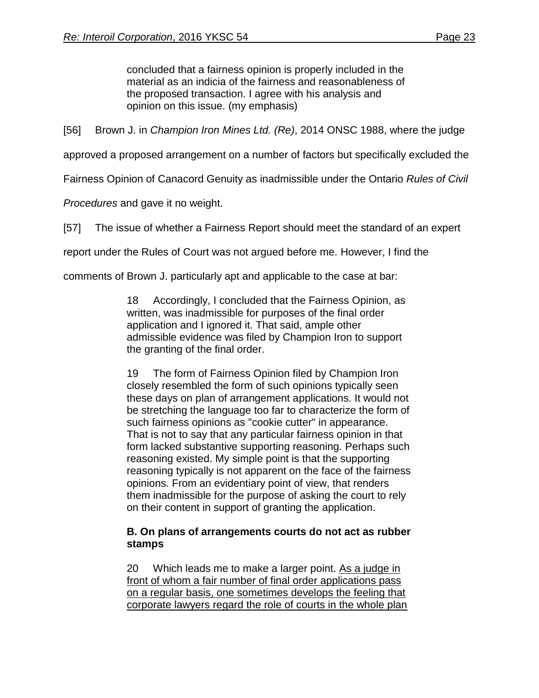concluded that a fairness opinion is properly included in the material as an indicia of the fairness and reasonableness of the proposed transaction. I agree with his analysis and opinion on this issue. (my emphasis)

[56] Brown J. in *Champion Iron Mines Ltd. (Re)*, 2014 ONSC 1988, where the judge

approved a proposed arrangement on a number of factors but specifically excluded the

Fairness Opinion of Canacord Genuity as inadmissible under the Ontario *Rules of Civil* 

*Procedures* and gave it no weight.

[57] The issue of whether a Fairness Report should meet the standard of an expert

report under the Rules of Court was not argued before me. However, I find the

comments of Brown J. particularly apt and applicable to the case at bar:

18 Accordingly, I concluded that the Fairness Opinion, as written, was inadmissible for purposes of the final order application and I ignored it. That said, ample other admissible evidence was filed by Champion Iron to support the granting of the final order.

19 The form of Fairness Opinion filed by Champion Iron closely resembled the form of such opinions typically seen these days on plan of arrangement applications. It would not be stretching the language too far to characterize the form of such fairness opinions as "cookie cutter" in appearance. That is not to say that any particular fairness opinion in that form lacked substantive supporting reasoning. Perhaps such reasoning existed. My simple point is that the supporting reasoning typically is not apparent on the face of the fairness opinions. From an evidentiary point of view, that renders them inadmissible for the purpose of asking the court to rely on their content in support of granting the application.

#### **B. On plans of arrangements courts do not act as rubber stamps**

20 Which leads me to make a larger point. As a judge in front of whom a fair number of final order applications pass on a regular basis, one sometimes develops the feeling that corporate lawyers regard the role of courts in the whole plan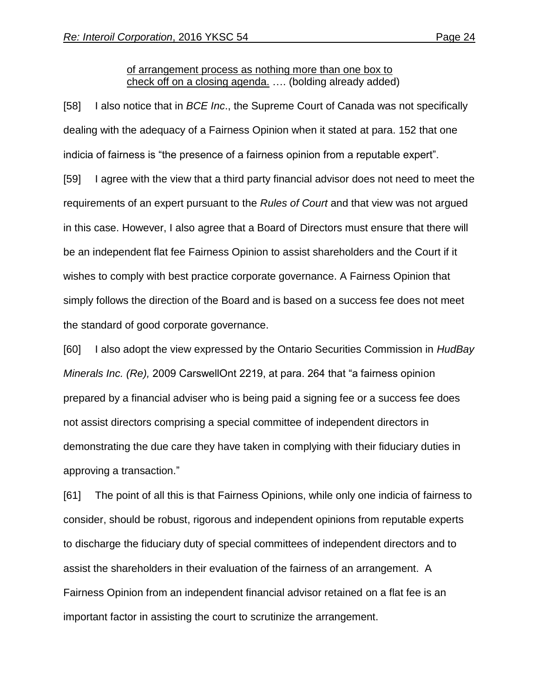#### of arrangement process as nothing more than one box to check off on a closing agenda. …. (bolding already added)

[58] I also notice that in *BCE Inc*., the Supreme Court of Canada was not specifically dealing with the adequacy of a Fairness Opinion when it stated at para. 152 that one indicia of fairness is "the presence of a fairness opinion from a reputable expert".

[59] I agree with the view that a third party financial advisor does not need to meet the requirements of an expert pursuant to the *Rules of Court* and that view was not argued in this case. However, I also agree that a Board of Directors must ensure that there will be an independent flat fee Fairness Opinion to assist shareholders and the Court if it wishes to comply with best practice corporate governance. A Fairness Opinion that simply follows the direction of the Board and is based on a success fee does not meet the standard of good corporate governance.

[60] I also adopt the view expressed by the Ontario Securities Commission in *HudBay Minerals Inc. (Re),* 2009 CarswellOnt 2219, at para. 264 that "a fairness opinion prepared by a financial adviser who is being paid a signing fee or a success fee does not assist directors comprising a special committee of independent directors in demonstrating the due care they have taken in complying with their fiduciary duties in approving a transaction."

[61] The point of all this is that Fairness Opinions, while only one indicia of fairness to consider, should be robust, rigorous and independent opinions from reputable experts to discharge the fiduciary duty of special committees of independent directors and to assist the shareholders in their evaluation of the fairness of an arrangement. A Fairness Opinion from an independent financial advisor retained on a flat fee is an important factor in assisting the court to scrutinize the arrangement.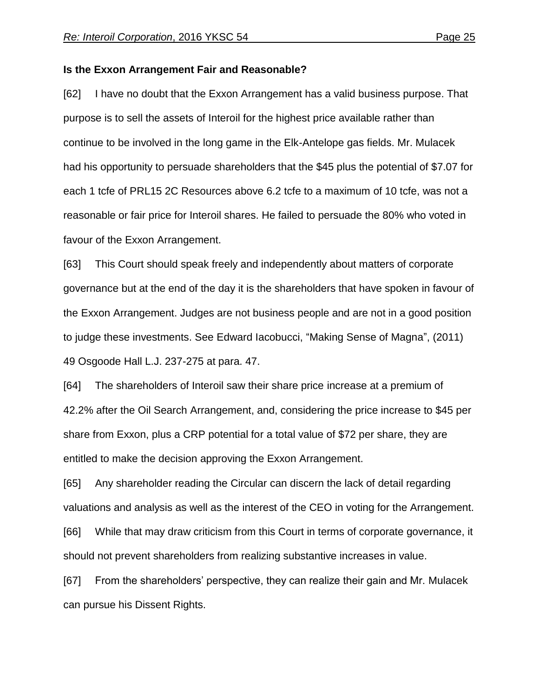#### **Is the Exxon Arrangement Fair and Reasonable?**

[62] I have no doubt that the Exxon Arrangement has a valid business purpose. That purpose is to sell the assets of Interoil for the highest price available rather than continue to be involved in the long game in the Elk-Antelope gas fields. Mr. Mulacek had his opportunity to persuade shareholders that the \$45 plus the potential of \$7.07 for each 1 tcfe of PRL15 2C Resources above 6.2 tcfe to a maximum of 10 tcfe, was not a reasonable or fair price for Interoil shares. He failed to persuade the 80% who voted in favour of the Exxon Arrangement.

[63] This Court should speak freely and independently about matters of corporate governance but at the end of the day it is the shareholders that have spoken in favour of the Exxon Arrangement. Judges are not business people and are not in a good position to judge these investments. See Edward Iacobucci, "Making Sense of Magna", (2011) 49 Osgoode Hall L.J. 237-275 at para. 47.

[64] The shareholders of Interoil saw their share price increase at a premium of 42.2% after the Oil Search Arrangement, and, considering the price increase to \$45 per share from Exxon, plus a CRP potential for a total value of \$72 per share, they are entitled to make the decision approving the Exxon Arrangement.

[65] Any shareholder reading the Circular can discern the lack of detail regarding valuations and analysis as well as the interest of the CEO in voting for the Arrangement.

[66] While that may draw criticism from this Court in terms of corporate governance, it should not prevent shareholders from realizing substantive increases in value.

[67] From the shareholders' perspective, they can realize their gain and Mr. Mulacek can pursue his Dissent Rights.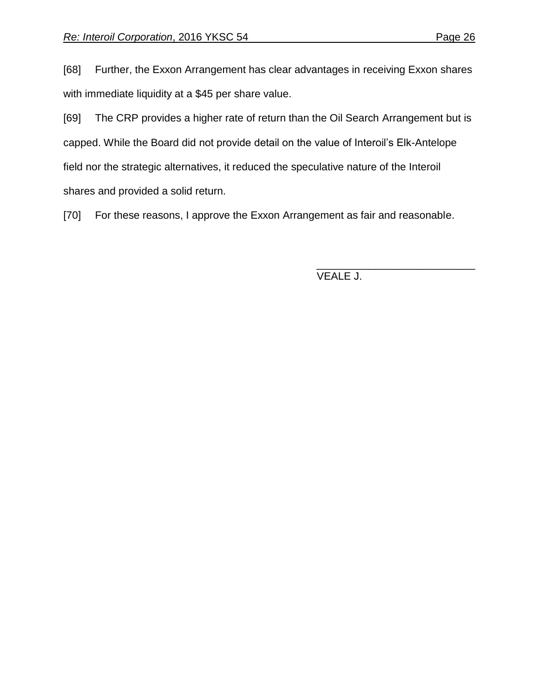[68] Further, the Exxon Arrangement has clear advantages in receiving Exxon shares with immediate liquidity at a \$45 per share value.

[69] The CRP provides a higher rate of return than the Oil Search Arrangement but is capped. While the Board did not provide detail on the value of Interoil's Elk-Antelope field nor the strategic alternatives, it reduced the speculative nature of the Interoil shares and provided a solid return.

[70] For these reasons, I approve the Exxon Arrangement as fair and reasonable.

VEALE J.

\_\_\_\_\_\_\_\_\_\_\_\_\_\_\_\_\_\_\_\_\_\_\_\_\_\_\_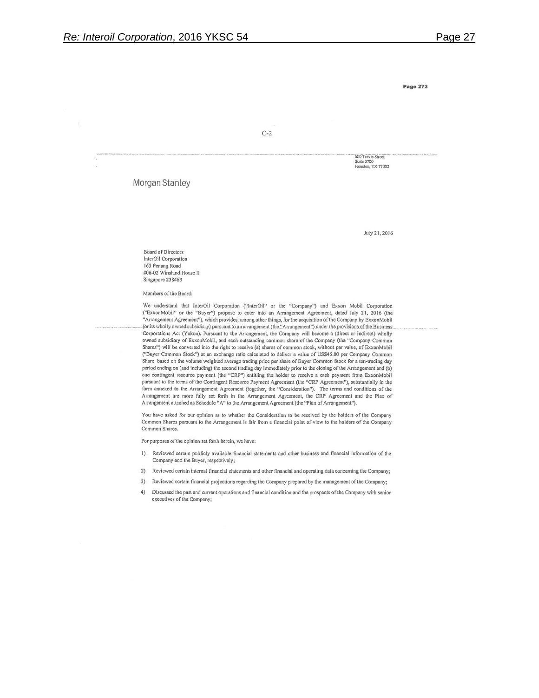$C-2$ 

600 Travis Street **Suite 3700** Houston, TX 77002

Morgan Stanley

July 21, 2016

Board of Directors InterOil Corporation 163 Penang Road #06-02 Winsland House II Singapore 238463

Members of the Board:

We understand that InterOil Corporation ("InterOil" or the "Company") and Exxon Mobil Corporation ("ExxonMobil" or the "Buyer") propose to enter into an Arrangement Agreement, dated July 21, 2016 (the "Arrangement Agreement"), which provides, among other things, for the acquisition of the Company by ExxonMobil .(or.its wholly.owned.subsidiary).pursuant to an arrangement.(the."Arrangement") under the provisions of the Business. Corporations Act (Yukon). Pursuant to the Arrangement, the Company will become a (direct or indirect) wholly owned subsidiary of ExxonMobil, and each outstanding common share of the Company (the "Company Common Shares") will be converted into the right to receive (a) shares of common stock, without par value, of ExxonMobil ("Buyer Common Stock") at an exchange ratio calculated to deliver a value of USS45.00 per Company Common Share based on the volume weighted average trading price per share of Buyer Common Stock for a ten-trading day period ending on (and including) the second trading day immediately prior to the closing of the Arrangement and (b) one contingent resource payment (the "CRP") entitling the holder to receive a cash payment from ExxonMobil pursuant to the terms of the Contingent Resource Payment Agreement (the "CRP Agreement"), substantially in the form annexed to the Arrangement Agreement (together, the "Consideration"). The terms and conditions of the Arrangement are more fully set forth in the Arrangement Agreement, the CRP Agreement and the Plan of Arrangement attached as Schedule "A" to the Arrangement Agreement (the "Plan of Arrangement").

You have asked for our opinion as to whether the Consideration to be received by the holders of the Company Common Shares pursuant to the Arrangement is fair from a financial point of view to the holders of the Company Common Shares.

For purposes of the opinion set forth herein, we have:

- $1)$ Reviewed certain publicly available financial statements and other business and financial information of the Company and the Buyer, respectively;
- $2)$ Reviewed certain internal financial statements and other financial and operating data concerning the Company;
- 3) Reviewed certain financial projections regarding the Company prepared by the management of the Company;
- 4) Discussed the past and current operations and financial condition and the prospects of the Company with senior executives of the Company;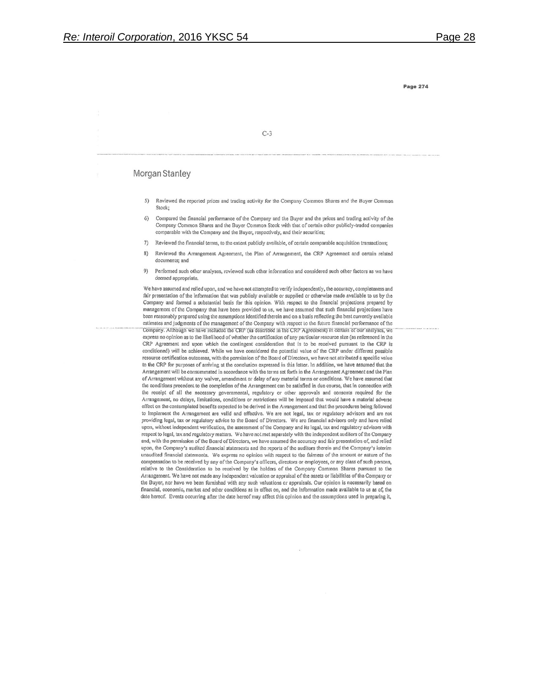$C-3$ 

#### Morgan Stanley

- Reviewed the reported prices and trading activity for the Company Common Shares and the Buyer Common  $5)$ Stock:
- Compared the financial performance of the Company and the Buyer and the prices and trading activity of the  $6)$ Company Common Shares and the Buyer Common Stock with that of certain other publicly-traded companies comparable with the Company and the Buyer, respectively, and their securities;
- $7)$ Reviewed the financial terms, to the extent publicly available, of certain comparable acquisition transactions;
- 8) Reviewed the Arrangement Agreement, the Plan of Arrangement, the CRP Agreement and certain related documents; and
- Performed such other analyses, reviewed such other information and considered such other factors as we have 9) deemed appropriate.

We have assumed and relied upon, and we have not attempted to verify independently, the accuracy, completeness and fair presentation of the information that was publicly available or supplied or otherwise made available to us by the Company and formed a substantial basis for this opinion. With respect to the financial projections prepared by management of the Company that have been provided to us, we have assumed that such financial projections have been reasonably prepared using the assumptions identified therein and on a basis reflecting the best currently available estimates and judgments of the management of the Company with respect to the future financial performance of the Company. Although we have included the CRP (as described in the CRP Agreement) in certain of our analyses, we express no opinion as to the likelihood of whether the certification of any particular resource size (as referenced in the CRP Agreement and upon which the contingent consideration that is to be received pursuant to the CRP is conditioned) will be achieved. While we have considered the potential value of the CRP under different possible resource certification outcomes, with the permission of the Board of Directors, we have not attributed a specific value to the CRP for purposes of arriving at the conclusion expressed in this letter. In addition, we have assumed that the Arrangement will be consummated in accordance with the terms set forth in the Arrangement Agreement and the Plan of Arrangement without any waiver, amendment or delay of any material terms or conditions. We have assumed that the conditions precedent to the completion of the Arrangement can be satisfied in due course, that in connection with the receipt of all the necessary governmental, regulatory or other approvals and consents required for the Arrangement, no delays, limitations, conditions or restrictions will be imposed that would have a material adverse effect on the contemplated benefits expected to be derived in the Arrangement and that the procedures being followed to implement the Arrangement are valid and effective. We are not legal, tax or regulatory advisors and are not providing legal, tax or regulatory advice to the Board of Directors. We are financial advisors only and have relied upon, without independent verification, the assessment of the Company and its legal, tax and regulatory advisors with respect to legal, tax and regulatory matters. We have not met separately with the independent auditors of the Company and, with the permission of the Board of Directors, we have assumed the accuracy and fair presentation of, and relied upon, the Company's audited financial statements and the reports of the auditors therein and the Company's interim unaudited financial statements. We express no opinion with respect to the fairness of the amount or nature of the compensation to be received by any of the Company's officers, directors or employees, or any class of such persons, relative to the Consideration to be received by the holders of the Company Common Shares pursuant to the Arrangement. We have not made any independent valuation or appraisal of the assets or liabilities of the Company or the Buyer, nor have we been furnished with any such valuations or appraisals. Our opinion is necessarily based on financial, economic, market and other conditions as in effect on, and the information made available to us as of, the date hereof. Events occurring after the date hereof may affect this opinion and the assumptions used in preparing it,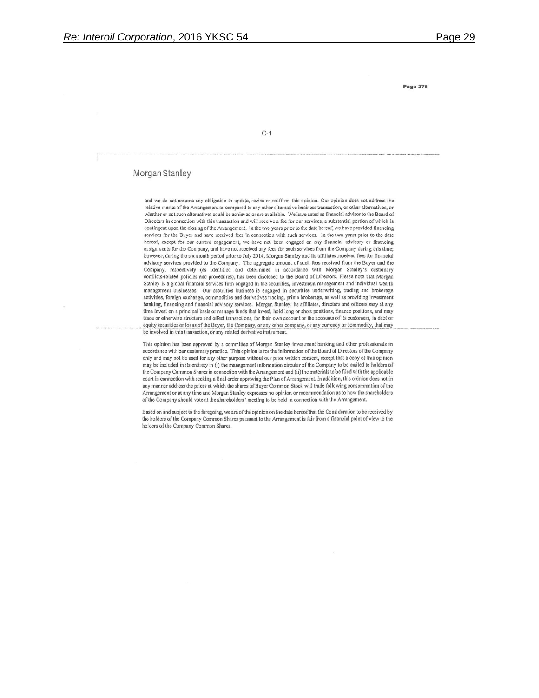$C-4$ 

#### Morgan Stanley

and we do not assume any obligation to update, revise or reaffirm this opinion. Our opinion does not address the relative merits of the Arrangement as compared to any other alternative business transaction, or other alternatives, or whether or not such alternatives could be achieved or are available. We have acted as financial advisor to the Board of Directors in connection with this transaction and will receive a fee for our services, a substantial portion of which is contingent upon the closing of the Arrangement. In the two years prior to the date hereof, we have provided financing services for the Buyer and have received fees in connection with such services. In the two years prior to the date hereof, except for our current engagement, we have not been engaged on any financial advisory or financing assignments for the Company, and have not received any fees for such services from the Company during this time; however, during the six month period prior to July 2014, Morgan Stanley and its affiliates received fees for financial advisory services provided to the Company. The aggregate amount of such fees received from the Buyer and the Company, respectively (as identified and determined in accordance with Morgan Stanley's customary conflicts-related policies and procedures), has been disclosed to the Board of Directors. Please note that Morgan Stanley is a global financial services firm engaged in the securities, investment management and individual wealth management businesses. Our securities business is engaged in securities underwriting, trading and brokerage activities, foreign exchange, commodities and derivatives trading, prime brokerage, as well as providing investment banking, financing and financial advisory services. Morgan Stanley, its affiliates, directors and officers may at any time invest on a principal basis or manage funds that invest, hold long or short positions, finance positions, and may trade or otherwise structure and effect transactions, for their own account or the accounts of its customers, in debt or equity securities or loans of the Buyer, the Company, or any other company, or any currency or commodity, that may be involved in this transaction, or any related derivative instrument.

This opinion has been approved by a committee of Morgan Stanley investment banking and other professionals in accordance with our customary practice. This opinion is for the information of the Board of Directors of the Company only and may not be used for any other purpose without our prior written consent, except that a copy of this opinion may be included in its entirety in (i) the management information circular of the Company to be mailed to holders of the Company Common Shares in connection with the Arrangement and (ii) the materials to be filed with the applicable court in connection with seeking a final order approving the Plan of Arrangement. In addition, this opinion does not in any manner address the prices at which the shares of Buyer Common Stock will trade following consummation of the Arrangement or at any time and Morgan Stanley expresses no opinion or recommendation as to how the shareholders of the Company should vote at the shareholders' meeting to be held in connection with the Arrangement.

Based on and subject to the foregoing, we are of the opinion on the date hereof that the Consideration to be received by the holders of the Company Common Shares pursuant to the Arrangement is fair from a financial point of view to the holders of the Company Common Shares.